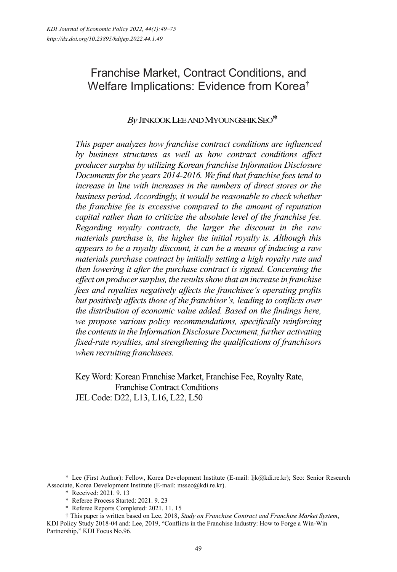# Franchise Market, Contract Conditions, and Welfare Implications: Evidence from Korea†

# *By* JINKOOK LEE AND MYOUNGSHIK SEO\*

*This paper analyzes how franchise contract conditions are influenced by business structures as well as how contract conditions affect producer surplus by utilizing Korean franchise Information Disclosure Documents for the years 2014-2016. We find that franchise fees tend to increase in line with increases in the numbers of direct stores or the business period. Accordingly, it would be reasonable to check whether the franchise fee is excessive compared to the amount of reputation capital rather than to criticize the absolute level of the franchise fee. Regarding royalty contracts, the larger the discount in the raw materials purchase is, the higher the initial royalty is. Although this appears to be a royalty discount, it can be a means of inducing a raw materials purchase contract by initially setting a high royalty rate and then lowering it after the purchase contract is signed. Concerning the effect on producer surplus, the results show that an increase in franchise fees and royalties negatively affects the franchisee's operating profits but positively affects those of the franchisor's, leading to conflicts over the distribution of economic value added. Based on the findings here, we propose various policy recommendations, specifically reinforcing the contents in the Information Disclosure Document, further activating fixed-rate royalties, and strengthening the qualifications of franchisors when recruiting franchisees.* 

Key Word: Korean Franchise Market, Franchise Fee, Royalty Rate, Franchise Contract Conditions JEL Code: D22, L13, L16, L22, L50

\* Lee (First Author): Fellow, Korea Development Institute (E-mail: ljk@kdi.re.kr); Seo: Senior Research Associate, Korea Development Institute (E-mail: msseo@kdi.re.kr).

\* Received: 2021. 9. 13

- \* Referee Process Started: 2021. 9. 23
- \* Referee Reports Completed: 2021. 11. 15

† This paper is written based on Lee, 2018, *Study on Franchise Contract and Franchise Market System*, KDI Policy Study 2018-04 and: Lee, 2019, "Conflicts in the Franchise Industry: How to Forge a Win-Win Partnership," KDI Focus No.96.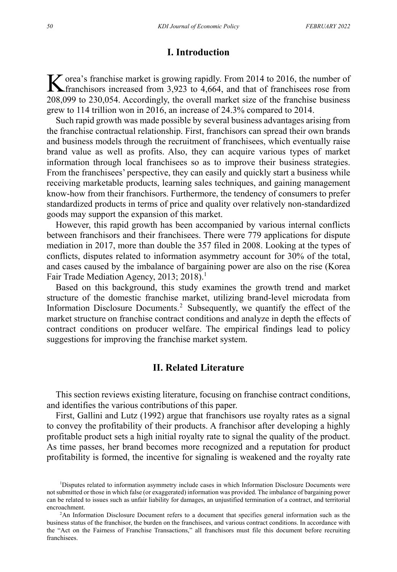### **I. Introduction**

orea's franchise market is growing rapidly. From 2014 to 2016, the number of K orea's franchise market is growing rapidly. From 2014 to 2016, the number of franchises increased from 3,923 to 4,664, and that of franchises rose from 208,099 to 230,054. Accordingly, the overall market size of the franchise business grew to 114 trillion won in 2016, an increase of 24.3% compared to 2014.

Such rapid growth was made possible by several business advantages arising from the franchise contractual relationship. First, franchisors can spread their own brands and business models through the recruitment of franchisees, which eventually raise brand value as well as profits. Also, they can acquire various types of market information through local franchisees so as to improve their business strategies. From the franchisees' perspective, they can easily and quickly start a business while receiving marketable products, learning sales techniques, and gaining management know-how from their franchisors. Furthermore, the tendency of consumers to prefer standardized products in terms of price and quality over relatively non-standardized goods may support the expansion of this market.

However, this rapid growth has been accompanied by various internal conflicts between franchisors and their franchisees. There were 779 applications for dispute mediation in 2017, more than double the 357 filed in 2008. Looking at the types of conflicts, disputes related to information asymmetry account for 30% of the total, and cases caused by the imbalance of bargaining power are also on the rise (Korea Fair Trade Mediation Agency, 2013; 2018).<sup>1</sup>

Based on this background, this study examines the growth trend and market structure of the domestic franchise market, utilizing brand-level microdata from Information Disclosure Documents.<sup>2</sup> Subsequently, we quantify the effect of the market structure on franchise contract conditions and analyze in depth the effects of contract conditions on producer welfare. The empirical findings lead to policy suggestions for improving the franchise market system.

# **II. Related Literature**

This section reviews existing literature, focusing on franchise contract conditions, and identifies the various contributions of this paper.

First, Gallini and Lutz (1992) argue that franchisors use royalty rates as a signal to convey the profitability of their products. A franchisor after developing a highly profitable product sets a high initial royalty rate to signal the quality of the product. As time passes, her brand becomes more recognized and a reputation for product profitability is formed, the incentive for signaling is weakened and the royalty rate

<sup>&</sup>lt;sup>1</sup>Disputes related to information asymmetry include cases in which Information Disclosure Documents were not submitted or those in which false (or exaggerated) information was provided. The imbalance of bargaining power can be related to issues such as unfair liability for damages, an unjustified termination of a contract, and territorial encroachment. 2

<sup>&</sup>lt;sup>2</sup>An Information Disclosure Document refers to a document that specifies general information such as the business status of the franchisor, the burden on the franchisees, and various contract conditions. In accordance with the "Act on the Fairness of Franchise Transactions," all franchisors must file this document before recruiting franchisees.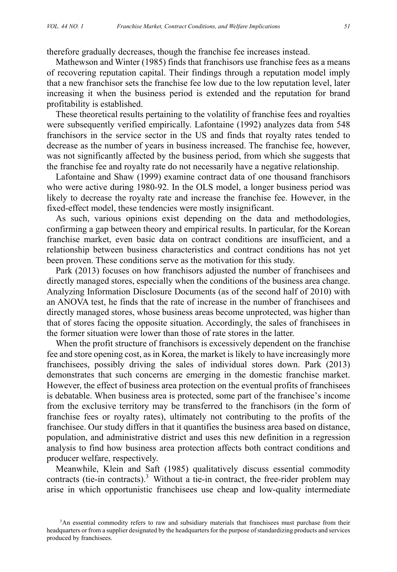therefore gradually decreases, though the franchise fee increases instead.

Mathewson and Winter (1985) finds that franchisors use franchise fees as a means of recovering reputation capital. Their findings through a reputation model imply that a new franchisor sets the franchise fee low due to the low reputation level, later increasing it when the business period is extended and the reputation for brand profitability is established.

These theoretical results pertaining to the volatility of franchise fees and royalties were subsequently verified empirically. Lafontaine (1992) analyzes data from 548 franchisors in the service sector in the US and finds that royalty rates tended to decrease as the number of years in business increased. The franchise fee, however, was not significantly affected by the business period, from which she suggests that the franchise fee and royalty rate do not necessarily have a negative relationship.

Lafontaine and Shaw (1999) examine contract data of one thousand franchisors who were active during 1980-92. In the OLS model, a longer business period was likely to decrease the royalty rate and increase the franchise fee. However, in the fixed-effect model, these tendencies were mostly insignificant.

As such, various opinions exist depending on the data and methodologies, confirming a gap between theory and empirical results. In particular, for the Korean franchise market, even basic data on contract conditions are insufficient, and a relationship between business characteristics and contract conditions has not yet been proven. These conditions serve as the motivation for this study.

Park (2013) focuses on how franchisors adjusted the number of franchisees and directly managed stores, especially when the conditions of the business area change. Analyzing Information Disclosure Documents (as of the second half of 2010) with an ANOVA test, he finds that the rate of increase in the number of franchisees and directly managed stores, whose business areas become unprotected, was higher than that of stores facing the opposite situation. Accordingly, the sales of franchisees in the former situation were lower than those of rate stores in the latter.

When the profit structure of franchisors is excessively dependent on the franchise fee and store opening cost, as in Korea, the market is likely to have increasingly more franchisees, possibly driving the sales of individual stores down. Park (2013) demonstrates that such concerns are emerging in the domestic franchise market. However, the effect of business area protection on the eventual profits of franchisees is debatable. When business area is protected, some part of the franchisee's income from the exclusive territory may be transferred to the franchisors (in the form of franchise fees or royalty rates), ultimately not contributing to the profits of the franchisee. Our study differs in that it quantifies the business area based on distance, population, and administrative district and uses this new definition in a regression analysis to find how business area protection affects both contract conditions and producer welfare, respectively.

Meanwhile, Klein and Saft (1985) qualitatively discuss essential commodity contracts (tie-in contracts).<sup>3</sup> Without a tie-in contract, the free-rider problem may arise in which opportunistic franchisees use cheap and low-quality intermediate

<sup>&</sup>lt;sup>3</sup>An essential commodity refers to raw and subsidiary materials that franchisees must purchase from their headquarters or from a supplier designated by the headquarters for the purpose of standardizing products and services produced by franchisees.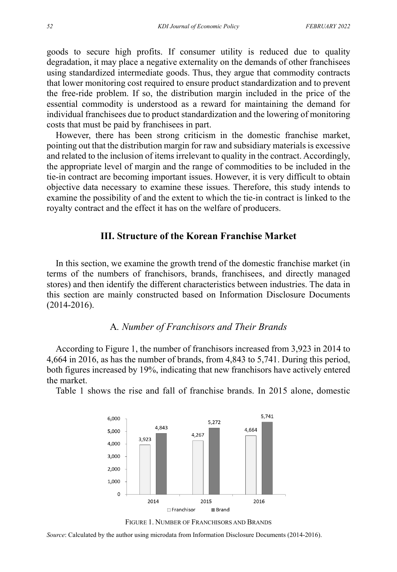goods to secure high profits. If consumer utility is reduced due to quality degradation, it may place a negative externality on the demands of other franchisees using standardized intermediate goods. Thus, they argue that commodity contracts that lower monitoring cost required to ensure product standardization and to prevent the free-ride problem. If so, the distribution margin included in the price of the essential commodity is understood as a reward for maintaining the demand for individual franchisees due to product standardization and the lowering of monitoring costs that must be paid by franchisees in part.

However, there has been strong criticism in the domestic franchise market, pointing out that the distribution margin for raw and subsidiary materials is excessive and related to the inclusion of items irrelevant to quality in the contract. Accordingly, the appropriate level of margin and the range of commodities to be included in the tie-in contract are becoming important issues. However, it is very difficult to obtain objective data necessary to examine these issues. Therefore, this study intends to examine the possibility of and the extent to which the tie-in contract is linked to the royalty contract and the effect it has on the welfare of producers.

# **III. Structure of the Korean Franchise Market**

In this section, we examine the growth trend of the domestic franchise market (in terms of the numbers of franchisors, brands, franchisees, and directly managed stores) and then identify the different characteristics between industries. The data in this section are mainly constructed based on Information Disclosure Documents (2014-2016).

#### A*. Number of Franchisors and Their Brands*

According to Figure 1, the number of franchisors increased from 3,923 in 2014 to 4,664 in 2016, as has the number of brands, from 4,843 to 5,741. During this period, both figures increased by 19%, indicating that new franchisors have actively entered the market.

Table 1 shows the rise and fall of franchise brands. In 2015 alone, domestic





*Source*: Calculated by the author using microdata from Information Disclosure Documents (2014-2016).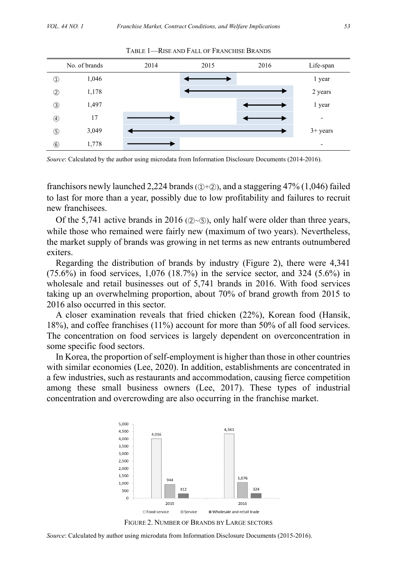|                | No. of brands | 2014 | 2015 | 2016 | Life-span  |
|----------------|---------------|------|------|------|------------|
| $^{\circledR}$ | 1,046         |      |      |      | 1 year     |
| $^{\circledR}$ | 1,178         |      |      |      | 2 years    |
| $\circled{3}$  | 1,497         |      |      |      | 1 year     |
| $^{\circledA}$ | 17            |      |      |      | ۰          |
| $\circledS$    | 3,049         |      |      |      | $3+$ years |
| $\circledast$  | 1,778         |      |      |      | ۰          |

TABLE 1—RISE AND FALL OF FRANCHISE BRANDS

*Source*: Calculated by the author using microdata from Information Disclosure Documents (2014-2016).

franchisors newly launched 2,224 brands ( $(D+\mathcal{D})$ ), and a staggering 47% (1,046) failed to last for more than a year, possibly due to low profitability and failures to recruit new franchisees.

Of the 5,741 active brands in 2016 ( $\mathcal{Q} \sim \mathcal{S}$ ), only half were older than three years, while those who remained were fairly new (maximum of two years). Nevertheless, the market supply of brands was growing in net terms as new entrants outnumbered exiters.

Regarding the distribution of brands by industry (Figure 2), there were 4,341 (75.6%) in food services, 1,076 (18.7%) in the service sector, and 324 (5.6%) in wholesale and retail businesses out of 5,741 brands in 2016. With food services taking up an overwhelming proportion, about 70% of brand growth from 2015 to 2016 also occurred in this sector.

A closer examination reveals that fried chicken (22%), Korean food (Hansik, 18%), and coffee franchises (11%) account for more than 50% of all food services. The concentration on food services is largely dependent on overconcentration in some specific food sectors.

In Korea, the proportion of self-employment is higher than those in other countries with similar economies (Lee, 2020). In addition, establishments are concentrated in a few industries, such as restaurants and accommodation, causing fierce competition among these small business owners (Lee, 2017). These types of industrial concentration and overcrowding are also occurring in the franchise market.





*Source*: Calculated by author using microdata from Information Disclosure Documents (2015-2016).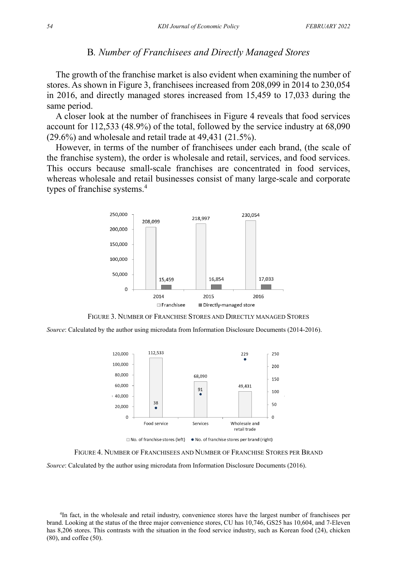#### B*. Number of Franchisees and Directly Managed Stores*

The growth of the franchise market is also evident when examining the number of stores. As shown in Figure 3, franchisees increased from 208,099 in 2014 to 230,054 in 2016, and directly managed stores increased from 15,459 to 17,033 during the same period.

A closer look at the number of franchisees in Figure 4 reveals that food services account for 112,533 (48.9%) of the total, followed by the service industry at 68,090 (29.6%) and wholesale and retail trade at 49,431 (21.5%).

However, in terms of the number of franchisees under each brand, (the scale of the franchise system), the order is wholesale and retail, services, and food services. This occurs because small-scale franchises are concentrated in food services, whereas wholesale and retail businesses consist of many large-scale and corporate types of franchise systems.<sup>4</sup>



FIGURE 3. NUMBER OF FRANCHISE STORES AND DIRECTLY MANAGED STORES

*Source*: Calculated by the author using microdata from Information Disclosure Documents (2014-2016).



□ No. of franchise stores (left) • No. of franchise stores per brand (right)

FIGURE 4. NUMBER OF FRANCHISEES AND NUMBER OF FRANCHISE STORES PER BRAND

*Source*: Calculated by the author using microdata from Information Disclosure Documents (2016).

4 In fact, in the wholesale and retail industry, convenience stores have the largest number of franchisees per brand. Looking at the status of the three major convenience stores, CU has 10,746, GS25 has 10,604, and 7-Eleven has 8,206 stores. This contrasts with the situation in the food service industry, such as Korean food (24), chicken (80), and coffee (50).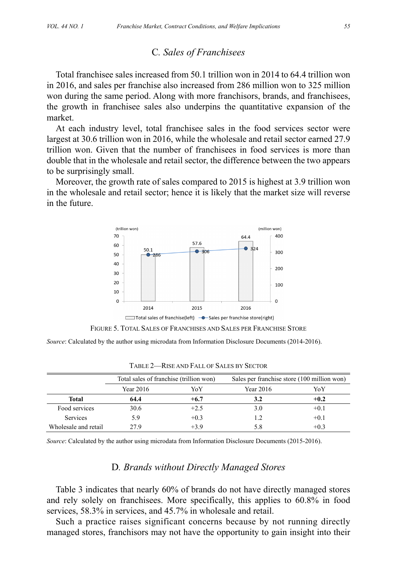### C*. Sales of Franchisees*

Total franchisee sales increased from 50.1 trillion won in 2014 to 64.4 trillion won in 2016, and sales per franchise also increased from 286 million won to 325 million won during the same period. Along with more franchisors, brands, and franchisees, the growth in franchisee sales also underpins the quantitative expansion of the market.

At each industry level, total franchisee sales in the food services sector were largest at 30.6 trillion won in 2016, while the wholesale and retail sector earned 27.9 trillion won. Given that the number of franchisees in food services is more than double that in the wholesale and retail sector, the difference between the two appears to be surprisingly small.

Moreover, the growth rate of sales compared to 2015 is highest at 3.9 trillion won in the wholesale and retail sector; hence it is likely that the market size will reverse in the future.





*Source*: Calculated by the author using microdata from Information Disclosure Documents (2014-2016).

|                      | Total sales of franchise (trillion won)<br>Year 2016<br>YoY |        | Sales per franchise store (100 million won) |        |  |
|----------------------|-------------------------------------------------------------|--------|---------------------------------------------|--------|--|
|                      |                                                             |        | Year $2016$                                 | YoY    |  |
| Total                | 64.4                                                        | $+6.7$ | 3.2                                         | $+0.2$ |  |
| Food services        | 30.6                                                        | $+2.5$ | 3.0                                         | $+0.1$ |  |
| <b>Services</b>      | 5.9                                                         | $+0.3$ | 1.2                                         | $+0.1$ |  |
| Wholesale and retail | 27.9                                                        | $+3.9$ | 5.8                                         | $+0.3$ |  |

TABLE 2—RISE AND FALL OF SALES BY SECTOR

*Source*: Calculated by the author using microdata from Information Disclosure Documents (2015-2016).

#### D*. Brands without Directly Managed Stores*

Table 3 indicates that nearly 60% of brands do not have directly managed stores and rely solely on franchisees. More specifically, this applies to 60.8% in food services, 58.3% in services, and 45.7% in wholesale and retail.

Such a practice raises significant concerns because by not running directly managed stores, franchisors may not have the opportunity to gain insight into their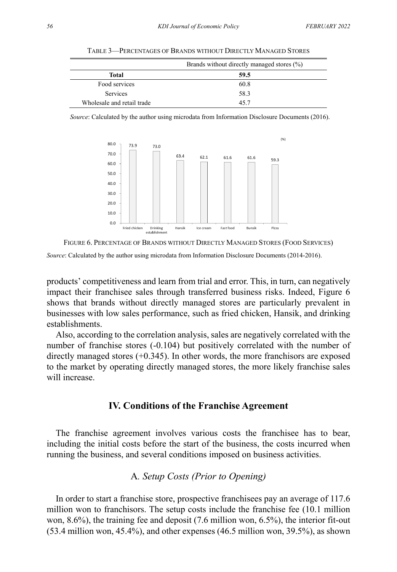|                            | Brands without directly managed stores (%) |
|----------------------------|--------------------------------------------|
| Total                      | 59.5                                       |
| Food services              | 60.8                                       |
| <b>Services</b>            | 58.3                                       |
| Wholesale and retail trade | 45.7                                       |

TABLE 3—PERCENTAGES OF BRANDS WITHOUT DIRECTLY MANAGED STORES

*Source*: Calculated by the author using microdata from Information Disclosure Documents (2016).



FIGURE 6. PERCENTAGE OF BRANDS WITHOUT DIRECTLY MANAGED STORES (FOOD SERVICES)

*Source*: Calculated by the author using microdata from Information Disclosure Documents (2014-2016).

products' competitiveness and learn from trial and error. This, in turn, can negatively impact their franchisee sales through transferred business risks. Indeed, Figure 6 shows that brands without directly managed stores are particularly prevalent in businesses with low sales performance, such as fried chicken, Hansik, and drinking establishments.

Also, according to the correlation analysis, sales are negatively correlated with the number of franchise stores (-0.104) but positively correlated with the number of directly managed stores (+0.345). In other words, the more franchisors are exposed to the market by operating directly managed stores, the more likely franchise sales will increase.

#### **IV. Conditions of the Franchise Agreement**

The franchise agreement involves various costs the franchisee has to bear, including the initial costs before the start of the business, the costs incurred when running the business, and several conditions imposed on business activities.

# A*. Setup Costs (Prior to Opening)*

In order to start a franchise store, prospective franchisees pay an average of 117.6 million won to franchisors. The setup costs include the franchise fee (10.1 million won, 8.6%), the training fee and deposit (7.6 million won, 6.5%), the interior fit-out (53.4 million won, 45.4%), and other expenses (46.5 million won, 39.5%), as shown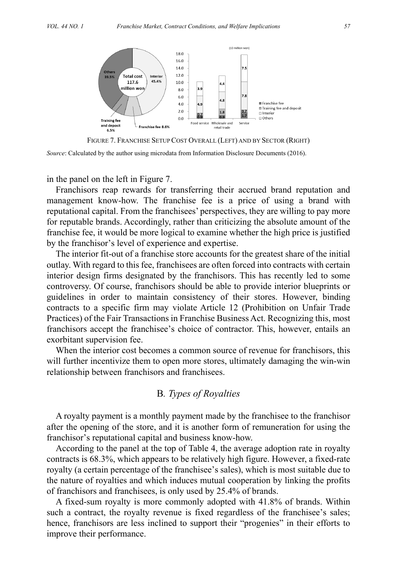

FIGURE 7. FRANCHISE SETUP COST OVERALL (LEFT) AND BY SECTOR (RIGHT)

*Source*: Calculated by the author using microdata from Information Disclosure Documents (2016).

in the panel on the left in Figure 7.

Franchisors reap rewards for transferring their accrued brand reputation and management know-how. The franchise fee is a price of using a brand with reputational capital. From the franchisees' perspectives, they are willing to pay more for reputable brands. Accordingly, rather than criticizing the absolute amount of the franchise fee, it would be more logical to examine whether the high price is justified by the franchisor's level of experience and expertise.

The interior fit-out of a franchise store accounts for the greatest share of the initial outlay. With regard to this fee, franchisees are often forced into contracts with certain interior design firms designated by the franchisors. This has recently led to some controversy. Of course, franchisors should be able to provide interior blueprints or guidelines in order to maintain consistency of their stores. However, binding contracts to a specific firm may violate Article 12 (Prohibition on Unfair Trade Practices) of the Fair Transactions in Franchise Business Act. Recognizing this, most franchisors accept the franchisee's choice of contractor. This, however, entails an exorbitant supervision fee.

When the interior cost becomes a common source of revenue for franchisors, this will further incentivize them to open more stores, ultimately damaging the win-win relationship between franchisors and franchisees.

### B*. Types of Royalties*

A royalty payment is a monthly payment made by the franchisee to the franchisor after the opening of the store, and it is another form of remuneration for using the franchisor's reputational capital and business know-how.

According to the panel at the top of Table 4, the average adoption rate in royalty contracts is 68.3%, which appears to be relatively high figure. However, a fixed-rate royalty (a certain percentage of the franchisee's sales), which is most suitable due to the nature of royalties and which induces mutual cooperation by linking the profits of franchisors and franchisees, is only used by 25.4% of brands.

A fixed-sum royalty is more commonly adopted with 41.8% of brands. Within such a contract, the royalty revenue is fixed regardless of the franchisee's sales; hence, franchisors are less inclined to support their "progenies" in their efforts to improve their performance.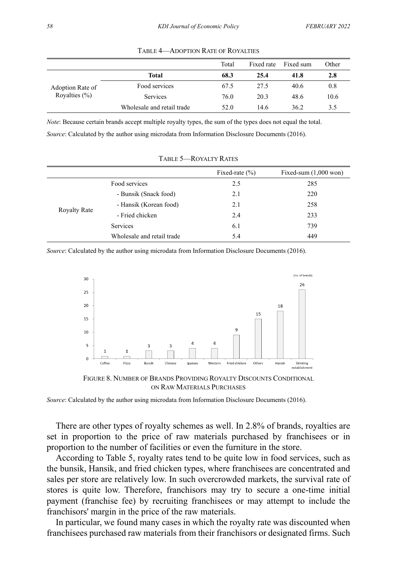|                                       |                            | Total | Fixed rate | Fixed sum | Other |
|---------------------------------------|----------------------------|-------|------------|-----------|-------|
|                                       | <b>Total</b>               | 68.3  | 25.4       | 41.8      | 2.8   |
| Adoption Rate of<br>Royalties $(\% )$ | Food services              | 67.5  | 27.5       | 40.6      | 0.8   |
|                                       | Services                   | 76.0  | 20.3       | 48.6      | 10.6  |
|                                       | Wholesale and retail trade | 52.0  | 14.6       | 36.2      | 3.5   |

TABLE 4—ADOPTION RATE OF ROYALTIES

*Note*: Because certain brands accept multiple royalty types, the sum of the types does not equal the total.

*Source*: Calculated by the author using microdata from Information Disclosure Documents (2016).

|                     |                            | Fixed-rate $(\% )$ | Fixed-sum $(1,000$ won) |
|---------------------|----------------------------|--------------------|-------------------------|
| Food services       |                            | 2.5                | 285                     |
|                     | - Bunsik (Snack food)      | 2.1                | 220                     |
|                     | - Hansik (Korean food)     | 2.1                | 258                     |
| <b>Royalty Rate</b> | - Fried chicken            | 2.4                | 233                     |
|                     | <b>Services</b>            | 6.1                | 739                     |
|                     | Wholesale and retail trade | 5.4                | 449                     |

TABLE 5—ROYALTY RATES

*Source*: Calculated by the author using microdata from Information Disclosure Documents (2016).



FIGURE 8. NUMBER OF BRANDS PROVIDING ROYALTY DISCOUNTS CONDITIONAL ON RAW MATERIALS PURCHASES

*Source*: Calculated by the author using microdata from Information Disclosure Documents (2016).

There are other types of royalty schemes as well. In 2.8% of brands, royalties are set in proportion to the price of raw materials purchased by franchisees or in proportion to the number of facilities or even the furniture in the store.

According to Table 5, royalty rates tend to be quite low in food services, such as the bunsik, Hansik, and fried chicken types, where franchisees are concentrated and sales per store are relatively low. In such overcrowded markets, the survival rate of stores is quite low. Therefore, franchisors may try to secure a one-time initial payment (franchise fee) by recruiting franchisees or may attempt to include the franchisors' margin in the price of the raw materials.

In particular, we found many cases in which the royalty rate was discounted when franchisees purchased raw materials from their franchisors or designated firms. Such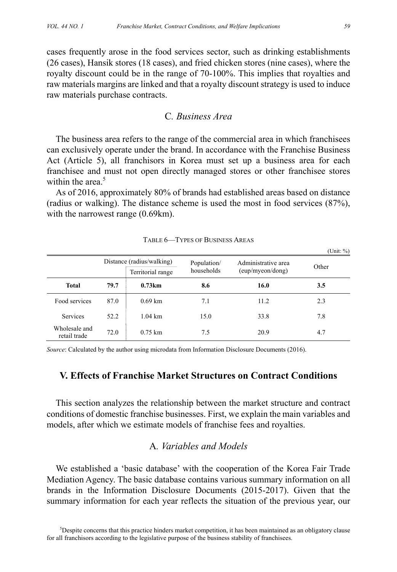cases frequently arose in the food services sector, such as drinking establishments (26 cases), Hansik stores (18 cases), and fried chicken stores (nine cases), where the royalty discount could be in the range of 70-100%. This implies that royalties and raw materials margins are linked and that a royalty discount strategy is used to induce raw materials purchase contracts.

### C*. Business Area*

The business area refers to the range of the commercial area in which franchisees can exclusively operate under the brand. In accordance with the Franchise Business Act (Article 5), all franchisors in Korea must set up a business area for each franchisee and must not open directly managed stores or other franchisee stores within the area.<sup>5</sup>

As of 2016, approximately 80% of brands had established areas based on distance (radius or walking). The distance scheme is used the most in food services (87%), with the narrowest range  $(0.69 \text{ km})$ .

|                               |      |                                                                             |      |                                         | OIII.70 |
|-------------------------------|------|-----------------------------------------------------------------------------|------|-----------------------------------------|---------|
|                               |      | Distance (radius/walking)<br>Population/<br>households<br>Territorial range |      | Administrative area<br>(eup/myeon/dong) | Other   |
| <b>Total</b>                  | 79.7 | 0.73km                                                                      | 8.6  | 16.0                                    | 3.5     |
| Food services                 | 87.0 | $0.69 \text{ km}$                                                           | 7.1  | 11.2                                    | 2.3     |
| Services                      | 52.2 | $1.04 \text{ km}$                                                           | 15.0 | 33.8                                    | 7.8     |
| Wholesale and<br>retail trade | 72.0 | $0.75 \; \mathrm{km}$                                                       | 7.5  | 20.9                                    | 4.7     |

TABLE 6—TYPES OF BUSINESS AREAS

*Source*: Calculated by the author using microdata from Information Disclosure Documents (2016).

# **V. Effects of Franchise Market Structures on Contract Conditions**

This section analyzes the relationship between the market structure and contract conditions of domestic franchise businesses. First, we explain the main variables and models, after which we estimate models of franchise fees and royalties.

# A*. Variables and Models*

We established a 'basic database' with the cooperation of the Korea Fair Trade Mediation Agency. The basic database contains various summary information on all brands in the Information Disclosure Documents (2015-2017). Given that the summary information for each year reflects the situation of the previous year, our

 $(T \ln 11, 0)$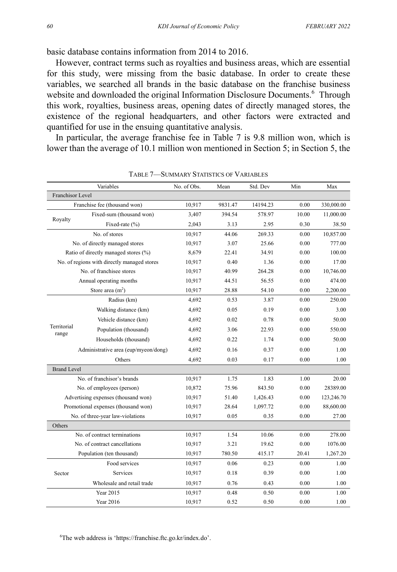basic database contains information from 2014 to 2016.

However, contract terms such as royalties and business areas, which are essential for this study, were missing from the basic database. In order to create these variables, we searched all brands in the basic database on the franchise business website and downloaded the original Information Disclosure Documents.<sup>6</sup> Through this work, royalties, business areas, opening dates of directly managed stores, the existence of the regional headquarters, and other factors were extracted and quantified for use in the ensuing quantitative analysis.

In particular, the average franchise fee in Table 7 is 9.8 million won, which is lower than the average of 10.1 million won mentioned in Section 5; in Section 5, the

| Variables            |                                             | No. of Obs. | Mean    | Std. Dev | Min   | Max        |
|----------------------|---------------------------------------------|-------------|---------|----------|-------|------------|
| Franchisor Level     |                                             |             |         |          |       |            |
|                      | Franchise fee (thousand won)                | 10,917      | 9831.47 | 14194.23 | 0.00  | 330,000.00 |
|                      | Fixed-sum (thousand won)                    | 3,407       | 394.54  | 578.97   | 10.00 | 11,000.00  |
| Royalty              | Fixed-rate (%)                              | 2,043       | 3.13    | 2.95     | 0.30  | 38.50      |
|                      | No. of stores                               | 10,917      | 44.06   | 269.33   | 0.00  | 10,857.00  |
|                      | No. of directly managed stores              | 10,917      | 3.07    | 25.66    | 0.00  | 777.00     |
|                      | Ratio of directly managed stores (%)        | 8,679       | 22.41   | 34.91    | 0.00  | 100.00     |
|                      | No. of regions with directly managed stores | 10,917      | 0.40    | 1.36     | 0.00  | 17.00      |
|                      | No. of franchisee stores                    | 10,917      | 40.99   | 264.28   | 0.00  | 10,746.00  |
|                      | Annual operating months                     | 10,917      | 44.51   | 56.55    | 0.00  | 474.00     |
|                      | Store area $(m2)$                           | 10,917      | 28.88   | 54.10    | 0.00  | 2,200.00   |
|                      | Radius (km)                                 | 4,692       | 0.53    | 3.87     | 0.00  | 250.00     |
|                      | Walking distance (km)                       | 4,692       | 0.05    | 0.19     | 0.00  | 3.00       |
|                      | Vehicle distance (km)                       | 4,692       | 0.02    | 0.78     | 0.00  | 50.00      |
| Territorial<br>range | Population (thousand)                       | 4.692       | 3.06    | 22.93    | 0.00  | 550.00     |
|                      | Households (thousand)                       | 4.692       | 0.22    | 1.74     | 0.00  | 50.00      |
|                      | Administrative area (eup/myeon/dong)        | 4,692       | 0.16    | 0.37     | 0.00  | 1.00       |
|                      | Others                                      | 4,692       | 0.03    | 0.17     | 0.00  | 1.00       |
| <b>Brand Level</b>   |                                             |             |         |          |       |            |
|                      | No. of franchisor's brands                  | 10,917      | 1.75    | 1.83     | 1.00  | 20.00      |
|                      | No. of employees (person)                   | 10,872      | 75.96   | 843.50   | 0.00  | 28389.00   |
|                      | Advertising expenses (thousand won)         | 10,917      | 51.40   | 1,426.43 | 0.00  | 123,246.70 |
|                      | Promotional expenses (thousand won)         | 10,917      | 28.64   | 1,097.72 | 0.00  | 88,600.00  |
|                      | No. of three-year law-violations            | 10,917      | 0.05    | 0.35     | 0.00  | 27.00      |
| Others               |                                             |             |         |          |       |            |
|                      | No. of contract terminations                | 10,917      | 1.54    | 10.06    | 0.00  | 278.00     |
|                      | No. of contract cancellations               | 10,917      | 3.21    | 19.62    | 0.00  | 1076.00    |
|                      | Population (ten thousand)                   | 10,917      | 780.50  | 415.17   | 20.41 | 1,267.20   |
|                      | Food services                               | 10,917      | 0.06    | 0.23     | 0.00  | 1.00       |
| Sector               | Services                                    | 10,917      | 0.18    | 0.39     | 0.00  | 1.00       |
|                      | Wholesale and retail trade                  | 10,917      | 0.76    | 0.43     | 0.00  | 1.00       |
|                      | Year 2015                                   | 10,917      | 0.48    | 0.50     | 0.00  | 1.00       |
|                      | Year 2016                                   | 10,917      | 0.52    | 0.50     | 0.00  | 1.00       |

TABLE 7—SUMMARY STATISTICS OF VARIABLES

6 The web address is 'https://franchise.ftc.go.kr/index.do'.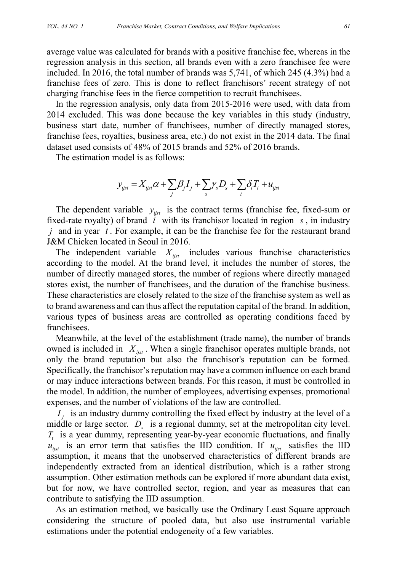average value was calculated for brands with a positive franchise fee, whereas in the regression analysis in this section, all brands even with a zero franchisee fee were included. In 2016, the total number of brands was 5,741, of which 245 (4.3%) had a franchise fees of zero. This is done to reflect franchisors' recent strategy of not charging franchise fees in the fierce competition to recruit franchisees.

In the regression analysis, only data from 2015-2016 were used, with data from 2014 excluded. This was done because the key variables in this study (industry, business start date, number of franchisees, number of directly managed stores, franchise fees, royalties, business area, etc.) do not exist in the 2014 data. The final dataset used consists of 48% of 2015 brands and 52% of 2016 brands.

The estimation model is as follows:

$$
y_{ijst} = X_{ijst}\alpha + \sum_j \beta_j I_j + \sum_s \gamma_s D_s + \sum_t \delta_t T_t + u_{ijst}
$$

The dependent variable  $y_{i,j}$  is the contract terms (franchise fee, fixed-sum or fixed-rate royalty) of brand *i* with its franchisor located in region *s* , in industry *j* and in year *t* . For example, it can be the franchise fee for the restaurant brand J&M Chicken located in Seoul in 2016.

The independent variable  $X_{ijst}$  includes various franchise characteristics according to the model. At the brand level, it includes the number of stores, the number of directly managed stores, the number of regions where directly managed stores exist, the number of franchisees, and the duration of the franchise business. These characteristics are closely related to the size of the franchise system as well as to brand awareness and can thus affect the reputation capital of the brand. In addition, various types of business areas are controlled as operating conditions faced by franchisees.

Meanwhile, at the level of the establishment (trade name), the number of brands owned is included in  $X_{ijst}$ . When a single franchisor operates multiple brands, not only the brand reputation but also the franchisor's reputation can be formed. Specifically, the franchisor's reputation may have a common influence on each brand or may induce interactions between brands. For this reason, it must be controlled in the model. In addition, the number of employees, advertising expenses, promotional expenses, and the number of violations of the law are controlled.

*I<sub>i</sub>* is an industry dummy controlling the fixed effect by industry at the level of a middle or large sector.  $D<sub>s</sub>$  is a regional dummy, set at the metropolitan city level. *T<sub>t</sub>* is a year dummy, representing year-by-year economic fluctuations, and finally  $u_{ijst}$  is an error term that satisfies the IID condition. If  $u_{ijst}$  satisfies the IID assumption, it means that the unobserved characteristics of different brands are independently extracted from an identical distribution, which is a rather strong assumption. Other estimation methods can be explored if more abundant data exist, but for now, we have controlled sector, region, and year as measures that can contribute to satisfying the IID assumption.

As an estimation method, we basically use the Ordinary Least Square approach considering the structure of pooled data, but also use instrumental variable estimations under the potential endogeneity of a few variables.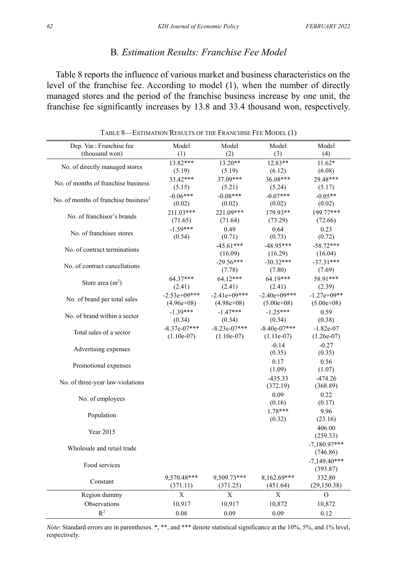# B*. Estimation Results: Franchise Fee Model*

Table 8 reports the influence of various market and business characteristics on the level of the franchise fee. According to model (1), when the number of directly managed stores and the period of the franchise business increase by one unit, the franchise fee significantly increases by 13.8 and 33.4 thousand won, respectively.

| Dep. Var.: Franchise fee<br>(thousand won)       | Model<br>(1)   | Model<br>(2)   | Model<br>(3)   | Model<br>(4)   |
|--------------------------------------------------|----------------|----------------|----------------|----------------|
|                                                  | 13.82***       | 13.20**        | $12.83**$      | 11.62*         |
| No. of directly managed stores                   | (5.19)         | (5.19)         | (6.12)         | (6.08)         |
|                                                  | 33.42***       | 37.09***       | 36.08***       | 29.48***       |
| No. of months of franchise business              |                |                |                |                |
|                                                  | (5.15)         | (5.21)         | (5.24)         | (5.17)         |
| No. of months of franchise business <sup>2</sup> | $-0.06***$     | $-0.08***$     | $-0.07***$     | $-0.05**$      |
|                                                  | (0.02)         | (0.02)         | (0.02)         | (0.02)         |
| No. of franchisor's brands                       | 211.03***      | 221.09***      | 179.93**       | 199.77***      |
|                                                  | (71.65)        | (71.64)        | (73.29)        | (72.66)        |
| No. of franchisee stores                         | $-1.59***$     | 0.49           | 0.64           | 0.23           |
|                                                  | (0.54)         | (0.71)         | (0.73)         | (0.72)         |
|                                                  |                | $-45.61***$    | $-48.95***$    | $-58.72***$    |
| No. of contract terminations                     |                | (16.09)        | (16.29)        | (16.04)        |
|                                                  |                | $-29.56***$    | $-30.32***$    | $-37.31***$    |
| No. of contract cancellations                    |                | (7.78)         | (7.80)         | (7.69)         |
|                                                  | $64.37***$     | $64.12***$     | 64.19***       | 58.91***       |
| Store area $(m2)$                                | (2.41)         | (2.41)         | (2.41)         | (2.39)         |
|                                                  | $-2.53e+09***$ | $-2.41e+09***$ | $-2.40e+09***$ | $-1.27e+09**$  |
| No. of brand per total sales                     | $(4.96e+08)$   | $(4.98e+08)$   | $(5.00e+0.8)$  | $(5.00e+0.8)$  |
|                                                  | $-1.39***$     | $-1.47***$     | $-1.25***$     |                |
| No. of brand within a sector                     |                |                |                | 0.59           |
|                                                  | (0.34)         | (0.34)         | (0.34)         | (0.38)         |
| Total sales of a sector                          | $-8.37e-07***$ | $-8.23e-07***$ | $-8.40e-07***$ | $-1.82e-07$    |
|                                                  | $(1.10e-07)$   | $(1.10e-07)$   | $(1.11e-07)$   | $(1.26e-07)$   |
| Advertising expenses                             |                |                | $-0.14$        | $-0.27$        |
|                                                  |                |                | (0.35)         | (0.35)         |
| Promotional expenses                             |                |                | 0.17           | 0.56           |
|                                                  |                |                | (1.09)         | (1.07)         |
|                                                  |                |                | $-435.33$      | $-474.26$      |
| No. of three-year law-violations                 |                |                | (372.19)       | (368.89)       |
|                                                  |                |                | 0.09           | 0.22           |
| No. of employees                                 |                |                | (0.16)         | (0.17)         |
|                                                  |                |                | 1.78***        | 9.96           |
| Population                                       |                |                | (0.32)         | (23.16)        |
|                                                  |                |                |                | 406.00         |
| Year 2015                                        |                |                |                | (259.33)       |
|                                                  |                |                |                | $-7.180.97***$ |
| Wholesale and retail trade                       |                |                |                | (746.86)       |
|                                                  |                |                |                |                |
| Food services                                    |                |                |                | $-7.149.40***$ |
|                                                  |                |                |                | (393.87)       |
| Constant                                         | 9.570.48***    | 9.509.73***    | 8.162.69***    | 332.80         |
|                                                  | (371.11)       | (371.25)       | (451.64)       | (29, 150.38)   |
| Region dummy                                     | X              | X              | X              | $\overline{O}$ |
| Observations                                     | 10,917         | 10,917         | 10,872         | 10,872         |
| R <sup>2</sup>                                   | $0.08\,$       | 0.09           | 0.09           | 0.12           |

TABLE 8—ESTIMATION RESULTS OF THE FRANCHISE FEE MODEL (1)

*Note*: Standard errors are in parentheses. \*, \*\*, and \*\*\* denote statistical significance at the 10%, 5%, and 1% level, respectively.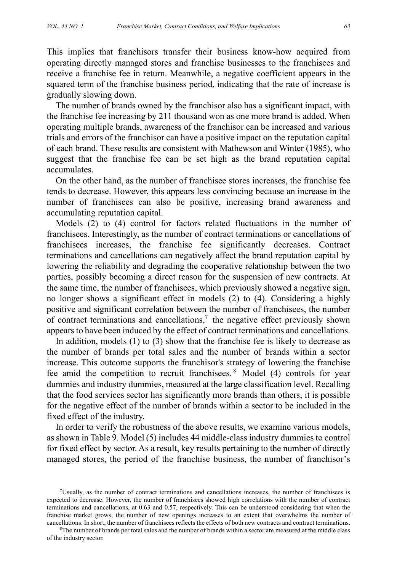This implies that franchisors transfer their business know-how acquired from operating directly managed stores and franchise businesses to the franchisees and receive a franchise fee in return. Meanwhile, a negative coefficient appears in the squared term of the franchise business period, indicating that the rate of increase is gradually slowing down.

The number of brands owned by the franchisor also has a significant impact, with the franchise fee increasing by 211 thousand won as one more brand is added. When operating multiple brands, awareness of the franchisor can be increased and various trials and errors of the franchisor can have a positive impact on the reputation capital of each brand. These results are consistent with Mathewson and Winter (1985), who suggest that the franchise fee can be set high as the brand reputation capital accumulates.

On the other hand, as the number of franchisee stores increases, the franchise fee tends to decrease. However, this appears less convincing because an increase in the number of franchisees can also be positive, increasing brand awareness and accumulating reputation capital.

Models (2) to (4) control for factors related fluctuations in the number of franchisees. Interestingly, as the number of contract terminations or cancellations of franchisees increases, the franchise fee significantly decreases. Contract terminations and cancellations can negatively affect the brand reputation capital by lowering the reliability and degrading the cooperative relationship between the two parties, possibly becoming a direct reason for the suspension of new contracts. At the same time, the number of franchisees, which previously showed a negative sign, no longer shows a significant effect in models (2) to (4). Considering a highly positive and significant correlation between the number of franchisees, the number of contract terminations and cancellations,<sup>7</sup> the negative effect previously shown appears to have been induced by the effect of contract terminations and cancellations.

In addition, models (1) to (3) show that the franchise fee is likely to decrease as the number of brands per total sales and the number of brands within a sector increase. This outcome supports the franchisor's strategy of lowering the franchise fee amid the competition to recruit franchisees.<sup>8</sup> Model (4) controls for year dummies and industry dummies, measured at the large classification level. Recalling that the food services sector has significantly more brands than others, it is possible for the negative effect of the number of brands within a sector to be included in the fixed effect of the industry.

In order to verify the robustness of the above results, we examine various models, as shown in Table 9. Model (5) includes 44 middle-class industry dummies to control for fixed effect by sector. As a result, key results pertaining to the number of directly managed stores, the period of the franchise business, the number of franchisor's

<sup>7</sup> Usually, as the number of contract terminations and cancellations increases, the number of franchisees is expected to decrease. However, the number of franchisees showed high correlations with the number of contract terminations and cancellations, at 0.63 and 0.57, respectively. This can be understood considering that when the franchise market grows, the number of new openings increases to an extent that overwhelms the number of cancellations. In short, the number of franchisees reflects the effects of both new contracts and contract terminations. 8

<sup>&</sup>lt;sup>8</sup>The number of brands per total sales and the number of brands within a sector are measured at the middle class of the industry sector.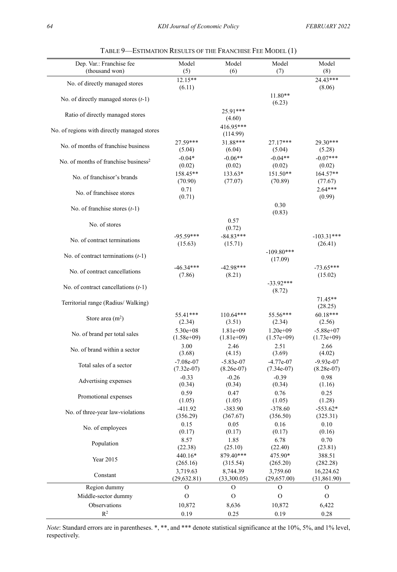| Dep. Var.: Franchise fee                         | Model                        | Model                       | Model                       | Model                       |
|--------------------------------------------------|------------------------------|-----------------------------|-----------------------------|-----------------------------|
| (thousand won)                                   | (5)                          | (6)                         | (7)                         | (8)                         |
| No. of directly managed stores                   | $12.15**$<br>(6.11)          |                             |                             | 24.43***<br>(8.06)          |
| No. of directly managed stores $(t-1)$           |                              |                             | $11.80**$<br>(6.23)         |                             |
| Ratio of directly managed stores                 |                              | 25.91***<br>(4.60)          |                             |                             |
| No. of regions with directly managed stores      |                              | 416.95***<br>(114.99)       |                             |                             |
| No. of months of franchise business              | 27.59***<br>(5.04)           | 31.88***<br>(6.04)          | 27.17***<br>(5.04)          | 29.30***<br>(5.28)          |
| No. of months of franchise business <sup>2</sup> | $-0.04*$<br>(0.02)           | $-0.06**$<br>(0.02)         | $-0.04**$<br>(0.02)         | $-0.07***$<br>(0.02)        |
| No. of franchisor's brands                       | 158.45**<br>(70.90)          | 133.63*<br>(77.07)          | 151.50**<br>(70.89)         | 164.57**<br>(77.67)         |
| No. of franchisee stores                         | 0.71<br>(0.71)               |                             |                             | $2.64***$<br>(0.99)         |
| No. of franchise stores $(t-1)$                  |                              |                             | 0.30<br>(0.83)              |                             |
| No. of stores                                    |                              | 0.57<br>(0.72)              |                             |                             |
| No. of contract terminations                     | $-95.59***$<br>(15.63)       | $-84.83***$<br>(15.71)      |                             | $-103.31***$<br>(26.41)     |
| No. of contract terminations $(t-1)$             |                              |                             | $-109.80***$<br>(17.09)     |                             |
| No. of contract cancellations                    | $-46.34***$<br>(7.86)        | $-42.98***$<br>(8.21)       |                             | $-73.65***$<br>(15.02)      |
| No. of contract cancellations $(t-1)$            |                              |                             | $-33.92***$<br>(8.72)       |                             |
| Territorial range (Radius/Walking)               |                              |                             |                             | $71.45**$<br>(28.25)        |
| Store area $(m2)$                                | 55.41***<br>(2.34)           | $110.64***$<br>(3.51)       | 55.56***<br>(2.34)          | 60.18***<br>(2.56)          |
| No. of brand per total sales                     | $5.30e + 08$<br>$(1.58e+09)$ | $1.81e+09$<br>$(1.81e+0.9)$ | $1.20e+09$<br>$(1.57e+09)$  | $-5.88e+07$<br>$(1.73e+09)$ |
| No. of brand within a sector                     | 3.00<br>(3.68)               | 2.46<br>(4.15)              | 2.51<br>(3.69)              | 2.66<br>(4.02)              |
| Total sales of a sector                          | $-7.08e-07$<br>$(7.32e-07)$  | $-5.83e-07$<br>$(8.26e-07)$ | $-4.77e-07$<br>$(7.34e-07)$ | $-9.93e-07$<br>$(8.28e-07)$ |
| Advertising expenses                             | $-0.33$<br>(0.34)            | $-0.26$<br>(0.34)           | $-0.39$<br>(0.34)           | 0.98<br>(1.16)              |
| Promotional expenses                             | 0.59<br>(1.05)               | 0.47<br>(1.05)              | 0.76<br>(1.05)              | 0.25<br>(1.28)              |
| No. of three-year law-violations                 | -411.92<br>(356.29)          | $-383.90$<br>(367.67)       | $-378.60$<br>(356.50)       | $-553.62*$<br>(325.31)      |
| No. of employees                                 | 0.15<br>(0.17)               | 0.05<br>(0.17)              | 0.16<br>(0.17)              | 0.10<br>(0.16)              |
| Population                                       | 8.57<br>(22.38)              | 1.85<br>(25.10)             | 6.78<br>(22.40)             | 0.70<br>(23.81)             |
| Year 2015                                        | 440.16*<br>(265.16)          | 879.40***<br>(315.54)       | 475.90*<br>(265.20)         | 388.51<br>(282.28)          |
| Constant                                         | 3,719.63<br>(29, 632.81)     | 8,744.39<br>(33,300.05)     | 3,759.60<br>(29,657.00)     | 16,224.62<br>(31,861.90)    |
| Region dummy                                     | О                            | O                           | O                           | $\mathcal{O}$               |
| Middle-sector dummy                              | О                            | O                           | О                           | $\mathcal{O}$               |
| Observations                                     | 10,872                       | 8,636                       | 10,872                      | 6,422                       |
| $\mathbb{R}^2$                                   | 0.19                         | 0.25                        | 0.19                        | 0.28                        |

TABLE 9—ESTIMATION RESULTS OF THE FRANCHISE FEE MODEL (1)

*Note*: Standard errors are in parentheses. \*, \*\*, and \*\*\* denote statistical significance at the 10%, 5%, and 1% level, respectively.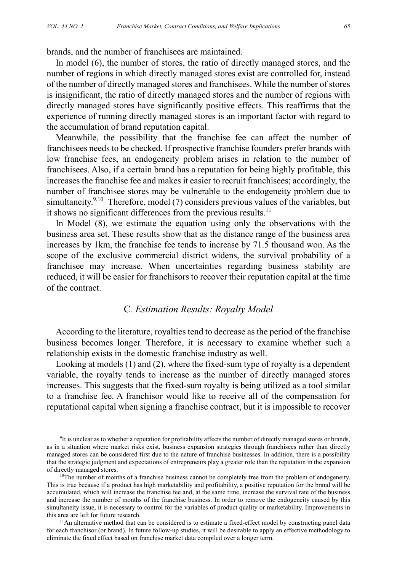brands, and the number of franchisees are maintained.

In model (6), the number of stores, the ratio of directly managed stores, and the number of regions in which directly managed stores exist are controlled for, instead of the number of directly managed stores and franchisees. While the number of stores is insignificant, the ratio of directly managed stores and the number of regions with directly managed stores have significantly positive effects. This reaffirms that the experience of running directly managed stores is an important factor with regard to the accumulation of brand reputation capital.

Meanwhile, the possibility that the franchise fee can affect the number of franchisees needs to be checked. If prospective franchise founders prefer brands with low franchise fees, an endogeneity problem arises in relation to the number of franchisees. Also, if a certain brand has a reputation for being highly profitable, this increases the franchise fee and makes it easier to recruit franchisees; accordingly, the number of franchisee stores may be vulnerable to the endogeneity problem due to simultaneity.<sup>9,10</sup> Therefore, model (7) considers previous values of the variables, but it shows no significant differences from the previous results. $^{11}$ 

In Model (8), we estimate the equation using only the observations with the business area set. These results show that as the distance range of the business area increases by 1km, the franchise fee tends to increase by 71.5 thousand won. As the scope of the exclusive commercial district widens, the survival probability of a franchisee may increase. When uncertainties regarding business stability are reduced, it will be easier for franchisors to recover their reputation capital at the time of the contract.

### C*. Estimation Results: Royalty Model*

According to the literature, royalties tend to decrease as the period of the franchise business becomes longer. Therefore, it is necessary to examine whether such a relationship exists in the domestic franchise industry as well.

Looking at models (1) and (2), where the fixed-sum type of royalty is a dependent variable, the royalty tends to increase as the number of directly managed stores increases. This suggests that the fixed-sum royalty is being utilized as a tool similar to a franchise fee. A franchisor would like to receive all of the compensation for reputational capital when signing a franchise contract, but it is impossible to recover

 $<sup>11</sup>$ An alternative method that can be considered is to estimate a fixed-effect model by constructing panel data</sup> for each franchisor (or brand). In future follow-up studies, it will be desirable to apply an effective methodology to eliminate the fixed effect based on franchise market data compiled over a longer term.

<sup>&</sup>lt;sup>9</sup>It is unclear as to whether a reputation for profitability affects the number of directly managed stores or brands, as in a situation where market risks exist, business expansion strategies through franchisees rather than directly managed stores can be considered first due to the nature of franchise businesses. In addition, there is a possibility that the strategic judgment and expectations of entrepreneurs play a greater role than the reputation in the expansion of directly managed stores.<br><sup>10</sup>The number of months of a franchise business cannot be completely free from the problem of endogeneity.

This is true because if a product has high marketability and profitability, a positive reputation for the brand will be accumulated, which will increase the franchise fee and, at the same time, increase the survival rate of the business and increase the number of months of the franchise business. In order to remove the endogeneity caused by this simultaneity issue, it is necessary to control for the variables of product quality or marketability. Improvements in this area are left for future research.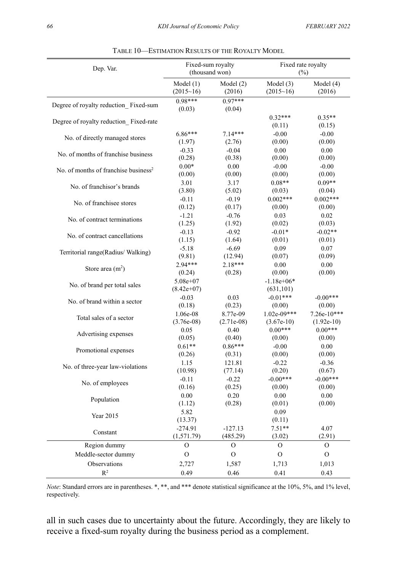| Dep. Var.                                        |                            | Fixed-sum royalty<br>(thousand won) | Fixed rate royalty<br>(%)  |                    |  |
|--------------------------------------------------|----------------------------|-------------------------------------|----------------------------|--------------------|--|
|                                                  | Model $(1)$                | Model (2)                           | Model $(3)$                | Model (4)          |  |
|                                                  | $(2015-16)$                | (2016)                              | $(2015-16)$                | (2016)             |  |
| Degree of royalty reduction_Fixed-sum            | $0.98***$<br>(0.03)        | $0.97***$<br>(0.04)                 |                            |                    |  |
| Degree of royalty reduction Fixed-rate           |                            |                                     | $0.32***$<br>(0.11)        | $0.35**$<br>(0.15) |  |
| No. of directly managed stores                   | $6.86***$                  | 7.14***                             | $-0.00$                    | $-0.00$            |  |
|                                                  | (1.97)                     | (2.76)                              | (0.00)                     | (0.00)             |  |
| No. of months of franchise business              | $-0.33$                    | $-0.04$                             | 0.00                       | 0.00               |  |
|                                                  | (0.28)                     | (0.38)                              | (0.00)                     | (0.00)             |  |
| No. of months of franchise business <sup>2</sup> | $0.00*$                    | 0.00                                | $-0.00$                    | $-0.00$            |  |
|                                                  | (0.00)                     | (0.00)                              | (0.00)                     | (0.00)             |  |
| No. of franchisor's brands                       | 3.01                       | 3.17                                | $0.08**$                   | $0.09**$           |  |
|                                                  | (3.80)                     | (5.02)                              | (0.03)                     | (0.04)             |  |
| No. of franchisee stores                         | $-0.11$                    | $-0.19$                             | $0.002***$                 | $0.002***$         |  |
|                                                  | (0.12)                     | (0.17)                              | (0.00)                     | (0.00)             |  |
| No. of contract terminations                     | $-1.21$                    | $-0.76$                             | 0.03                       | 0.02               |  |
|                                                  | (1.25)                     | (1.92)                              | (0.02)                     | (0.03)             |  |
| No. of contract cancellations                    | $-0.13$                    | $-0.92$                             | $-0.01*$                   | $-0.02**$          |  |
|                                                  | (1.15)                     | (1.64)                              | (0.01)                     | (0.01)             |  |
| Territorial range(Radius/Walking)                | $-5.18$                    | $-6.69$                             | 0.09                       | 0.07               |  |
|                                                  | (9.81)                     | (12.94)                             | (0.07)                     | (0.09)             |  |
| Store area $(m2)$                                | 2.94***                    | $2.18***$                           | 0.00                       | 0.00               |  |
|                                                  | (0.24)                     | (0.28)                              | (0.00)                     | (0.00)             |  |
| No. of brand per total sales                     | $5.08e+07$<br>$(8.42e+07)$ |                                     | $-1.18e+06*$<br>(631, 101) |                    |  |
| No. of brand within a sector                     | $-0.03$                    | 0.03                                | $-0.01***$                 | $-0.00***$         |  |
|                                                  | (0.18)                     | (0.23)                              | (0.00)                     | (0.00)             |  |
| Total sales of a sector                          | 1.06e-08                   | 8.77e-09                            | 1.02e-09***                | $7.26e-10***$      |  |
|                                                  | $(3.76e-0.8)$              | $(2.71e-08)$                        | $(3.67e-10)$               | $(1.92e-10)$       |  |
| Advertising expenses                             | 0.05                       | 0.40                                | $0.00***$                  | $0.00***$          |  |
|                                                  | (0.05)                     | (0.40)                              | (0.00)                     | (0.00)             |  |
| Promotional expenses                             | $0.61**$                   | $0.86***$                           | $-0.00$                    | 0.00               |  |
|                                                  | (0.26)                     | (0.31)                              | (0.00)                     | (0.00)             |  |
| No. of three-year law-violations                 | 1.15                       | 121.81                              | $-0.22$                    | $-0.36$            |  |
|                                                  | (10.98)                    | (77.14)                             | (0.20)                     | (0.67)             |  |
| No. of employees                                 | $-0.11$                    | $-0.22$                             | $-0.00***$                 | $-0.00***$         |  |
|                                                  | (0.16)                     | (0.25)                              | (0.00)                     | (0.00)             |  |
| Population                                       | 0.00                       | 0.20                                | 0.00                       | 0.00               |  |
|                                                  | (1.12)                     | (0.28)                              | (0.01)                     | (0.00)             |  |
| Year 2015                                        | 5.82<br>(13.37)            |                                     | 0.09<br>(0.11)             |                    |  |
| Constant                                         | $-274.91$                  | $-127.13$                           | $7.51**$                   | 4.07               |  |
|                                                  | (1,571.79)                 | (485.29)                            | (3.02)                     | (2.91)             |  |
| Region dummy                                     | O                          | O                                   | O                          | О                  |  |
| Meddle-sector dummy                              | O                          | $\Omega$                            | $\Omega$                   | $\mathcal{O}$      |  |
| Observations                                     | 2,727                      | 1,587                               | 1,713                      | 1,013              |  |
| $R^2$                                            | 0.49                       | 0.46                                | 0.41                       | 0.43               |  |

|  |  | TABLE 10—ESTIMATION RESULTS OF THE ROYALTY MODEL |  |  |  |
|--|--|--------------------------------------------------|--|--|--|
|--|--|--------------------------------------------------|--|--|--|

*Note*: Standard errors are in parentheses. \*, \*\*, and \*\*\* denote statistical significance at the 10%, 5%, and 1% level, respectively.

all in such cases due to uncertainty about the future. Accordingly, they are likely to receive a fixed-sum royalty during the business period as a complement.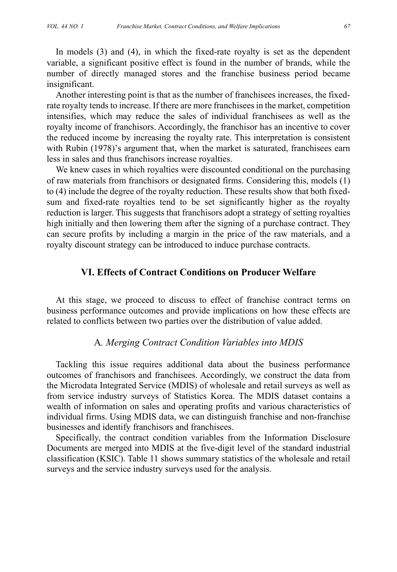In models (3) and (4), in which the fixed-rate royalty is set as the dependent variable, a significant positive effect is found in the number of brands, while the number of directly managed stores and the franchise business period became insignificant.

Another interesting point is that as the number of franchisees increases, the fixedrate royalty tends to increase. If there are more franchisees in the market, competition intensifies, which may reduce the sales of individual franchisees as well as the royalty income of franchisors. Accordingly, the franchisor has an incentive to cover the reduced income by increasing the royalty rate. This interpretation is consistent with Rubin (1978)'s argument that, when the market is saturated, franchisees earn less in sales and thus franchisors increase royalties.

We knew cases in which royalties were discounted conditional on the purchasing of raw materials from franchisors or designated firms. Considering this, models (1) to (4) include the degree of the royalty reduction. These results show that both fixedsum and fixed-rate royalties tend to be set significantly higher as the royalty reduction is larger. This suggests that franchisors adopt a strategy of setting royalties high initially and then lowering them after the signing of a purchase contract. They can secure profits by including a margin in the price of the raw materials, and a royalty discount strategy can be introduced to induce purchase contracts.

# **VI. Effects of Contract Conditions on Producer Welfare**

At this stage, we proceed to discuss to effect of franchise contract terms on business performance outcomes and provide implications on how these effects are related to conflicts between two parties over the distribution of value added.

### A*. Merging Contract Condition Variables into MDIS*

Tackling this issue requires additional data about the business performance outcomes of franchisors and franchisees. Accordingly, we construct the data from the Microdata Integrated Service (MDIS) of wholesale and retail surveys as well as from service industry surveys of Statistics Korea. The MDIS dataset contains a wealth of information on sales and operating profits and various characteristics of individual firms. Using MDIS data, we can distinguish franchise and non-franchise businesses and identify franchisors and franchisees.

Specifically, the contract condition variables from the Information Disclosure Documents are merged into MDIS at the five-digit level of the standard industrial classification (KSIC). Table 11 shows summary statistics of the wholesale and retail surveys and the service industry surveys used for the analysis.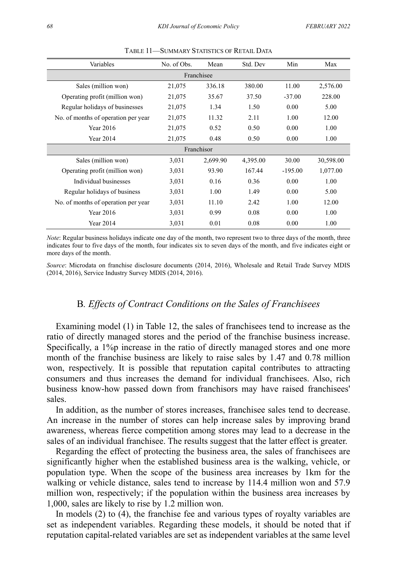| Variables                           | No. of Obs. | Mean     | Std. Dev | Min       | Max       |  |  |  |  |
|-------------------------------------|-------------|----------|----------|-----------|-----------|--|--|--|--|
|                                     | Franchisee  |          |          |           |           |  |  |  |  |
| Sales (million won)                 | 21,075      | 336.18   | 380.00   | 11.00     | 2,576.00  |  |  |  |  |
| Operating profit (million won)      | 21,075      | 35.67    | 37.50    | $-37.00$  | 228.00    |  |  |  |  |
| Regular holidays of businesses      | 21,075      | 1.34     | 1.50     | 0.00      | 5.00      |  |  |  |  |
| No. of months of operation per year | 21,075      | 11.32    | 2.11     | 1.00      | 12.00     |  |  |  |  |
| <b>Year 2016</b>                    | 21,075      | 0.52     | 0.50     | 0.00      | 1.00      |  |  |  |  |
| Year 2014                           | 21,075      | 0.48     | 0.50     | 0.00      | 1.00      |  |  |  |  |
| Franchisor                          |             |          |          |           |           |  |  |  |  |
| Sales (million won)                 | 3,031       | 2,699.90 | 4,395.00 | 30.00     | 30,598.00 |  |  |  |  |
| Operating profit (million won)      | 3,031       | 93.90    | 167.44   | $-195.00$ | 1,077.00  |  |  |  |  |
| Individual businesses               | 3,031       | 0.16     | 0.36     | 0.00      | 1.00      |  |  |  |  |
| Regular holidays of business        | 3,031       | 1.00     | 1.49     | 0.00      | 5.00      |  |  |  |  |
| No. of months of operation per year | 3,031       | 11.10    | 2.42     | 1.00      | 12.00     |  |  |  |  |
| <b>Year 2016</b>                    | 3,031       | 0.99     | 0.08     | 0.00      | 1.00      |  |  |  |  |
| Year 2014                           | 3,031       | 0.01     | 0.08     | 0.00      | 1.00      |  |  |  |  |

TABLE 11—SUMMARY STATISTICS OF RETAIL DATA

*Note*: Regular business holidays indicate one day of the month, two represent two to three days of the month, three indicates four to five days of the month, four indicates six to seven days of the month, and five indicates eight or more days of the month.

*Source*: Microdata on franchise disclosure documents (2014, 2016), Wholesale and Retail Trade Survey MDIS (2014, 2016), Service Industry Survey MDIS (2014, 2016).

### B*. Effects of Contract Conditions on the Sales of Franchisees*

Examining model (1) in Table 12, the sales of franchisees tend to increase as the ratio of directly managed stores and the period of the franchise business increase. Specifically, a 1%p increase in the ratio of directly managed stores and one more month of the franchise business are likely to raise sales by 1.47 and 0.78 million won, respectively. It is possible that reputation capital contributes to attracting consumers and thus increases the demand for individual franchisees. Also, rich business know-how passed down from franchisors may have raised franchisees' sales.

In addition, as the number of stores increases, franchisee sales tend to decrease. An increase in the number of stores can help increase sales by improving brand awareness, whereas fierce competition among stores may lead to a decrease in the sales of an individual franchisee. The results suggest that the latter effect is greater.

Regarding the effect of protecting the business area, the sales of franchisees are significantly higher when the established business area is the walking, vehicle, or population type. When the scope of the business area increases by 1km for the walking or vehicle distance, sales tend to increase by 114.4 million won and 57.9 million won, respectively; if the population within the business area increases by 1,000, sales are likely to rise by 1.2 million won.

In models (2) to (4), the franchise fee and various types of royalty variables are set as independent variables. Regarding these models, it should be noted that if reputation capital-related variables are set as independent variables at the same level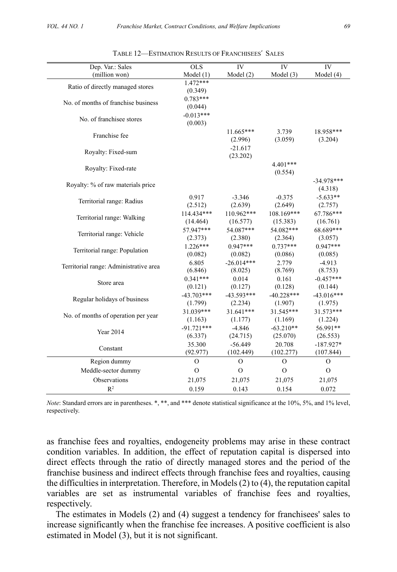| IV<br>$\overline{IV}$<br>Dep. Var.: Sales<br><b>OLS</b>                                   |                     |
|-------------------------------------------------------------------------------------------|---------------------|
| (million won)<br>Model(3)<br>Model $(1)$<br>Model $(2)$                                   | IV<br>Model $(4)$   |
| $1.472***$                                                                                |                     |
| Ratio of directly managed stores<br>(0.349)                                               |                     |
| $0.783***$<br>No. of months of franchise business                                         |                     |
| (0.044)                                                                                   |                     |
| $-0.013***$<br>No. of franchisee stores                                                   |                     |
| (0.003)                                                                                   |                     |
| $11.665***$<br>3.739<br>Franchise fee                                                     | 18.958***           |
| (3.059)<br>(2.996)                                                                        | (3.204)             |
| $-21.617$<br>Royalty: Fixed-sum                                                           |                     |
| (23.202)                                                                                  |                     |
| $4.401***$<br>Royalty: Fixed-rate                                                         |                     |
| (0.554)                                                                                   |                     |
| Royalty: % of raw materials price                                                         | $-34.978***$        |
|                                                                                           | (4.318)             |
| 0.917<br>$-3.346$<br>$-0.375$<br>Territorial range: Radius                                | $-5.633**$          |
| (2.512)<br>(2.639)<br>(2.649)                                                             | (2.757)             |
| 110.962***<br>108.169***<br>114.434***<br>Territorial range: Walking                      | 67.786***           |
| (16.577)<br>(14.464)<br>(15.383)                                                          | (16.761)            |
| 57.947***<br>54.087***<br>54.082***<br>Territorial range: Vehicle                         | 68.689***           |
| (2.373)<br>(2.380)<br>(2.364)                                                             | (3.057)             |
| $1.226***$<br>$0.947***$<br>$0.737***$<br>Territorial range: Population<br>(0.086)        | $0.947***$          |
| (0.082)<br>(0.082)<br>$-26.014***$                                                        | (0.085)             |
| 6.805<br>2.779<br>Territorial range: Administrative area<br>(8.769)<br>(6.846)<br>(8.025) | $-4.913$<br>(8.753) |
| $0.341***$<br>0.014<br>0.161                                                              | $-0.457***$         |
| Store area<br>(0.127)<br>(0.121)<br>(0.128)                                               | (0.144)             |
| $-43.703***$<br>$-43.593***$<br>$-40.228***$                                              | $-43.016***$        |
| Regular holidays of business<br>(2.234)<br>(1.799)<br>(1.907)                             | (1.975)             |
| 31.039***<br>31.641***<br>31.545***                                                       | 31.573***           |
| No. of months of operation per year<br>(1.163)<br>(1.177)<br>(1.169)                      | (1.224)             |
| $-91.721***$<br>$-4.846$<br>$-63.210**$                                                   | 56.991**            |
| Year 2014<br>(6.337)<br>(24.715)<br>(25.070)                                              | (26.553)            |
| $-56.449$<br>20.708<br>35.300                                                             | $-187.927*$         |
| Constant<br>(92.977)<br>(102.449)<br>(102.277)                                            | (107.844)           |
| Region dummy<br>$\mathcal{O}$<br>$\overline{O}$<br>$\overline{O}$                         | $\Omega$            |
| Meddle-sector dummy<br>$\mathcal{O}$<br>$\mathcal{O}$<br>$\mathcal{O}$                    | $\mathcal{O}$       |
| Observations<br>21,075<br>21,075<br>21,075                                                | 21,075              |
| R <sup>2</sup><br>0.159<br>0.143<br>0.154                                                 | 0.072               |

| TABLE 12—ESTIMATION RESULTS OF FRANCHISEES' SALES |  |
|---------------------------------------------------|--|
|---------------------------------------------------|--|

*Note*: Standard errors are in parentheses. \*, \*\*, and \*\*\* denote statistical significance at the 10%, 5%, and 1% level, respectively.

as franchise fees and royalties, endogeneity problems may arise in these contract condition variables. In addition, the effect of reputation capital is dispersed into direct effects through the ratio of directly managed stores and the period of the franchise business and indirect effects through franchise fees and royalties, causing the difficulties in interpretation. Therefore, in Models (2) to (4), the reputation capital variables are set as instrumental variables of franchise fees and royalties, respectively.

The estimates in Models (2) and (4) suggest a tendency for franchisees' sales to increase significantly when the franchise fee increases. A positive coefficient is also estimated in Model (3), but it is not significant.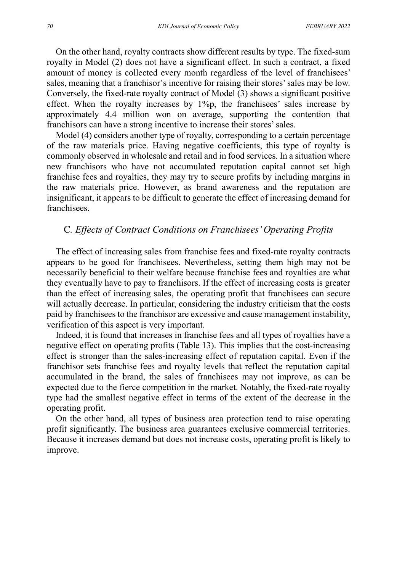On the other hand, royalty contracts show different results by type. The fixed-sum royalty in Model (2) does not have a significant effect. In such a contract, a fixed amount of money is collected every month regardless of the level of franchisees' sales, meaning that a franchisor's incentive for raising their stores' sales may be low. Conversely, the fixed-rate royalty contract of Model (3) shows a significant positive effect. When the royalty increases by  $1\%p$ , the franchisees' sales increase by approximately 4.4 million won on average, supporting the contention that franchisors can have a strong incentive to increase their stores' sales.

Model (4) considers another type of royalty, corresponding to a certain percentage of the raw materials price. Having negative coefficients, this type of royalty is commonly observed in wholesale and retail and in food services. In a situation where new franchisors who have not accumulated reputation capital cannot set high franchise fees and royalties, they may try to secure profits by including margins in the raw materials price. However, as brand awareness and the reputation are insignificant, it appears to be difficult to generate the effect of increasing demand for franchisees.

### C*. Effects of Contract Conditions on Franchisees' Operating Profits*

The effect of increasing sales from franchise fees and fixed-rate royalty contracts appears to be good for franchisees. Nevertheless, setting them high may not be necessarily beneficial to their welfare because franchise fees and royalties are what they eventually have to pay to franchisors. If the effect of increasing costs is greater than the effect of increasing sales, the operating profit that franchisees can secure will actually decrease. In particular, considering the industry criticism that the costs paid by franchisees to the franchisor are excessive and cause management instability, verification of this aspect is very important.

Indeed, it is found that increases in franchise fees and all types of royalties have a negative effect on operating profits (Table 13). This implies that the cost-increasing effect is stronger than the sales-increasing effect of reputation capital. Even if the franchisor sets franchise fees and royalty levels that reflect the reputation capital accumulated in the brand, the sales of franchisees may not improve, as can be expected due to the fierce competition in the market. Notably, the fixed-rate royalty type had the smallest negative effect in terms of the extent of the decrease in the operating profit.

On the other hand, all types of business area protection tend to raise operating profit significantly. The business area guarantees exclusive commercial territories. Because it increases demand but does not increase costs, operating profit is likely to improve.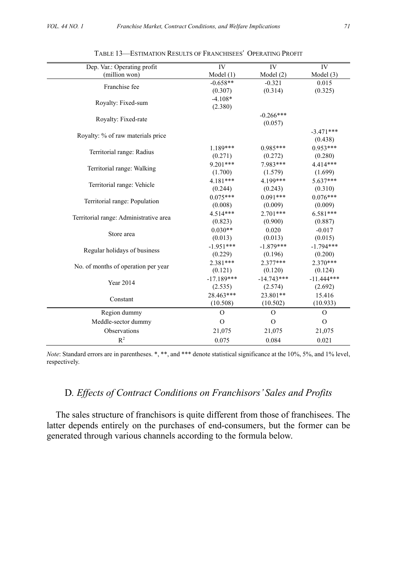| Dep. Var.: Operating profit            | IV            | <b>IV</b>     | IV            |
|----------------------------------------|---------------|---------------|---------------|
| (million won)                          | Model(1)      | Model(2)      | Model $(3)$   |
| Franchise fee                          | $-0.658**$    | $-0.321$      | 0.015         |
|                                        | (0.307)       | (0.314)       | (0.325)       |
| Royalty: Fixed-sum                     | $-4.108*$     |               |               |
|                                        | (2.380)       |               |               |
| Royalty: Fixed-rate                    |               | $-0.266***$   |               |
|                                        |               | (0.057)       |               |
| Royalty: % of raw materials price      |               |               | $-3.471***$   |
|                                        |               |               | (0.438)       |
| Territorial range: Radius              | $1.189***$    | $0.985***$    | $0.953***$    |
|                                        | (0.271)       | (0.272)       | (0.280)       |
| Territorial range: Walking             | $9.201***$    | 7.983***      | 4.414***      |
|                                        | (1.700)       | (1.579)       | (1.699)       |
| Territorial range: Vehicle             | $4.181***$    | 4.199***      | $5.637***$    |
|                                        | (0.244)       | (0.243)       | (0.310)       |
| Territorial range: Population          | $0.075***$    | $0.091***$    | $0.076***$    |
|                                        | (0.008)       | (0.009)       | (0.009)       |
| Territorial range: Administrative area | $4.514***$    | 2.701***      | $6.581***$    |
|                                        | (0.823)       | (0.900)       | (0.887)       |
| Store area                             | $0.030**$     | 0.020         | $-0.017$      |
|                                        | (0.013)       | (0.013)       | (0.015)       |
| Regular holidays of business           | $-1.951***$   | $-1.879***$   | $-1.794***$   |
|                                        | (0.229)       | (0.196)       | (0.200)       |
| No. of months of operation per year    | $2.381***$    | $2.377***$    | $2.370***$    |
|                                        | (0.121)       | (0.120)       | (0.124)       |
| <b>Year 2014</b>                       | $-17.189***$  | $-14.743***$  | $-11.444***$  |
|                                        | (2.535)       | (2.574)       | (2.692)       |
| Constant                               | 28.463***     | 23.801**      | 15.416        |
|                                        | (10.508)      | (10.502)      | (10.933)      |
| Region dummy                           | $\mathcal{O}$ | $\Omega$      | $\mathcal{O}$ |
| Meddle-sector dummy                    | $\mathcal{O}$ | $\mathcal{O}$ | $\mathbf{O}$  |
| Observations                           | 21,075        | 21,075        | 21,075        |
| R <sup>2</sup>                         | 0.075         | 0.084         | 0.021         |

| TABLE 13—ESTIMATION RESULTS OF FRANCHISEES' OPERATING PROFIT |
|--------------------------------------------------------------|
|--------------------------------------------------------------|

*Note*: Standard errors are in parentheses. \*, \*\*, and \*\*\* denote statistical significance at the 10%, 5%, and 1% level, respectively.

# D*. Effects of Contract Conditions on Franchisors' Sales and Profits*

The sales structure of franchisors is quite different from those of franchisees. The latter depends entirely on the purchases of end-consumers, but the former can be generated through various channels according to the formula below.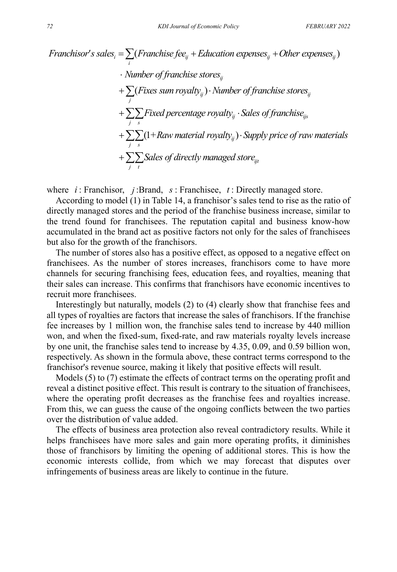Franchisor's sales<sub>i</sub> = 
$$
\sum_{i}
$$
 (Franchise fee<sub>ij</sub> + Education expenses<sub>ij</sub> + Other expenses<sub>ij</sub>)

\n• Number of franchise stores<sub>ij</sub>

\n•  $\sum_{j}$  (Fixes sum roughly<sub>ij</sub>) · Number of franchise stores<sub>ij</sub>

\n•  $\sum_{j}$   $\sum_{s}$  Fixed percentage roughly<sub>ij</sub> · Sales of franchise<sub>ijs</sub>

\n•  $\sum_{j}$   $\sum_{s}$  (1 + Raw material roughly<sub>ij</sub>) · Supply price of raw materials

\n•  $\sum_{j}$   $\sum_{t}$  Sales of directly managed store<sub>ijt</sub>

where *i* : Franchisor, *j* :Brand, *s* : Franchisee, *t* : Directly managed store.

According to model (1) in Table 14, a franchisor's sales tend to rise as the ratio of directly managed stores and the period of the franchise business increase, similar to the trend found for franchisees. The reputation capital and business know-how accumulated in the brand act as positive factors not only for the sales of franchisees but also for the growth of the franchisors.

The number of stores also has a positive effect, as opposed to a negative effect on franchisees. As the number of stores increases, franchisors come to have more channels for securing franchising fees, education fees, and royalties, meaning that their sales can increase. This confirms that franchisors have economic incentives to recruit more franchisees.

Interestingly but naturally, models (2) to (4) clearly show that franchise fees and all types of royalties are factors that increase the sales of franchisors. If the franchise fee increases by 1 million won, the franchise sales tend to increase by 440 million won, and when the fixed-sum, fixed-rate, and raw materials royalty levels increase by one unit, the franchise sales tend to increase by 4.35, 0.09, and 0.59 billion won, respectively. As shown in the formula above, these contract terms correspond to the franchisor's revenue source, making it likely that positive effects will result.

Models (5) to (7) estimate the effects of contract terms on the operating profit and reveal a distinct positive effect. This result is contrary to the situation of franchisees, where the operating profit decreases as the franchise fees and royalties increase. From this, we can guess the cause of the ongoing conflicts between the two parties over the distribution of value added.

The effects of business area protection also reveal contradictory results. While it helps franchisees have more sales and gain more operating profits, it diminishes those of franchisors by limiting the opening of additional stores. This is how the economic interests collide, from which we may forecast that disputes over infringements of business areas are likely to continue in the future.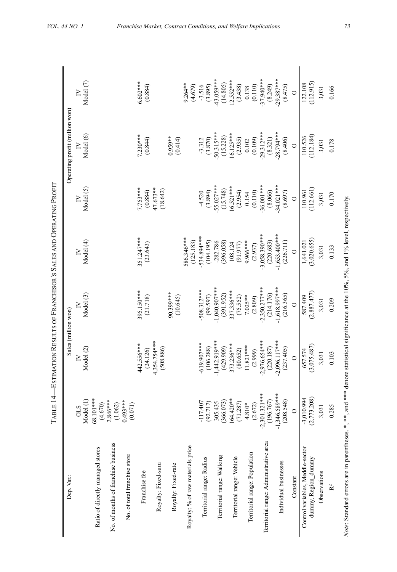| í        |
|----------|
| ļ        |
|          |
|          |
|          |
|          |
|          |
|          |
|          |
|          |
|          |
|          |
|          |
|          |
|          |
|          |
|          |
|          |
| I        |
|          |
|          |
|          |
|          |
|          |
|          |
|          |
|          |
|          |
|          |
| ļ        |
|          |
|          |
| $T = 14$ |
|          |
|          |
|          |

| Dep. Var.:                                              |                              | Sales (million won)       |                         |                                                                                            |                        | Operating profit (million won) |                        |
|---------------------------------------------------------|------------------------------|---------------------------|-------------------------|--------------------------------------------------------------------------------------------|------------------------|--------------------------------|------------------------|
|                                                         | Model (1)<br><b>OLS</b>      | Model (2)                 | Model (3)               | Model (4)                                                                                  | Model (5)              | Model (6)                      | Model (7)              |
| Ratio of directly managed stores                        | 58.101***<br>(4.670)         |                           |                         |                                                                                            |                        |                                |                        |
| No. of months of franchise business                     | $2.846***$<br>(1.062)        |                           |                         |                                                                                            |                        |                                |                        |
| No. of total franchise store                            | $0.493***$<br>(0.071)        |                           |                         |                                                                                            |                        |                                |                        |
| Franchise fee                                           |                              | 442.556***<br>(24.126)    | 395.150***<br>(21.718)  | 351.247****<br>(23.643)                                                                    | $7.753***$<br>(0.884)  | $7.230***$<br>(0.844)          | 5.602 ***<br>(0.884)   |
| Royalty: Fixed-sum                                      |                              | 4,354.754***<br>(508.886) |                         |                                                                                            | 47.673**<br>(18.642)   |                                |                        |
| Royalty: Fixed-rate                                     |                              |                           | 90.399***<br>(10.645)   |                                                                                            |                        | $0.959**$<br>(0.414)           |                        |
| Royalty: % of raw materials price                       |                              |                           |                         | 86.346***<br>(125.183)                                                                     |                        |                                | $9.264**$<br>(4.679)   |
| Territorial range: Radius                               | 117.407<br>(92.717)          | 619.907***<br>(106.288)   | 508.312***<br>(99.597)  | 534.894***<br>(104.195)                                                                    | (3.894)<br>$-4.520$    | (3.870)<br>$-3.312$            | $-3.516$<br>(3.895)    |
| Territorial range: Walking                              | 305.435                      | $-1,442.919***$           | 1,040.907***            | $-282.786$                                                                                 | 55.027***              | 50.315***                      | 43.059***              |
|                                                         | 64.420**<br>366.073)         | 373.236***<br>(429.909)   | 337.336***<br>(391.952) | (396.058)<br>108.124                                                                       | $6.521***$<br>(15.748) | $6.125***$<br>(15.228)         | $2.552***$<br>(14.805) |
| Territorial range: Vehicle                              | (71.287)                     | (80.652)                  | (75.552)                | (91.977)                                                                                   | (2.954)                | (2.935)                        | (3.438)                |
| Territorial range: Population                           | $4.810*$<br>(2.672)          | $11.821***$               | $7.025**$               | 9.966***                                                                                   | (0.110)<br>0.154       | (0.109)<br>$0.102\,$           | (0.110)<br>0.138       |
| Territorial range: Administrative area                  | $-2,301.321***$              | 2,976.654***<br>(2.999)   | 2,350.277***<br>(2.809) | $-3,058.390***$<br>(2.937)                                                                 | 36.001***              | 29.312***                      | 37.940***              |
| Individual businesses                                   | $-1,346.589***$<br>(196.767) | 2,096.117***<br>(220.187) | ****799.91<br>(214.176) | $-1.653.400***$<br>(220.683)                                                               | 34.021***<br>(8.066)   | 28.794***<br>(8.321)           | $29.387***$<br>(8.249) |
|                                                         | (208.548)                    | (237.405)                 | (216.365)               | (226.711)                                                                                  | (8.697)                | (8.406)                        | (8.475)                |
| Constant                                                | $\circ$                      | $\circ$                   | $\circ$                 | $\circ$                                                                                    | $\circ$                | $\circ$                        | $\circ$                |
| Control variables, Meddle-sector<br>dummy, Region_dummy | (2,773.208)<br>$-3,010.994$  | (3,075.487)<br>657.574    | (2,887.477)<br>587.409  | (3,020.655)<br>1,641.021                                                                   | (112.661)<br>110.961   | (112.184)<br>110.526           | (112.915)<br>122.108   |
| Observations                                            | 3,031                        | 3,031                     | 3,031                   | 3,031                                                                                      | 3,031                  | 3,031                          | 3,031                  |
| $\mathbf{\tilde{R}}^2$                                  | 0.285                        | 0.103                     | 0.209                   | 0.133                                                                                      | 0.170                  | 0.178                          | 0.166                  |
| Note: Standard errors are in parentheses.               |                              |                           |                         | *, **, and *** denote statistical significance at the 10%, 5%, and 1% level, respectively. |                        |                                |                        |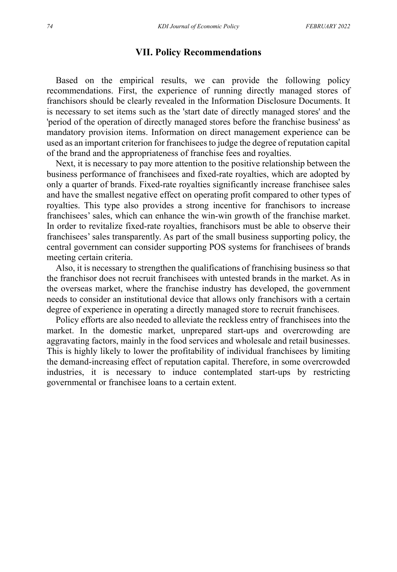#### **VII. Policy Recommendations**

Based on the empirical results, we can provide the following policy recommendations. First, the experience of running directly managed stores of franchisors should be clearly revealed in the Information Disclosure Documents. It is necessary to set items such as the 'start date of directly managed stores' and the 'period of the operation of directly managed stores before the franchise business' as mandatory provision items. Information on direct management experience can be used as an important criterion for franchisees to judge the degree of reputation capital of the brand and the appropriateness of franchise fees and royalties.

Next, it is necessary to pay more attention to the positive relationship between the business performance of franchisees and fixed-rate royalties, which are adopted by only a quarter of brands. Fixed-rate royalties significantly increase franchisee sales and have the smallest negative effect on operating profit compared to other types of royalties. This type also provides a strong incentive for franchisors to increase franchisees' sales, which can enhance the win-win growth of the franchise market. In order to revitalize fixed-rate royalties, franchisors must be able to observe their franchisees' sales transparently. As part of the small business supporting policy, the central government can consider supporting POS systems for franchisees of brands meeting certain criteria.

Also, it is necessary to strengthen the qualifications of franchising business so that the franchisor does not recruit franchisees with untested brands in the market. As in the overseas market, where the franchise industry has developed, the government needs to consider an institutional device that allows only franchisors with a certain degree of experience in operating a directly managed store to recruit franchisees.

Policy efforts are also needed to alleviate the reckless entry of franchisees into the market. In the domestic market, unprepared start-ups and overcrowding are aggravating factors, mainly in the food services and wholesale and retail businesses. This is highly likely to lower the profitability of individual franchisees by limiting the demand-increasing effect of reputation capital. Therefore, in some overcrowded industries, it is necessary to induce contemplated start-ups by restricting governmental or franchisee loans to a certain extent.